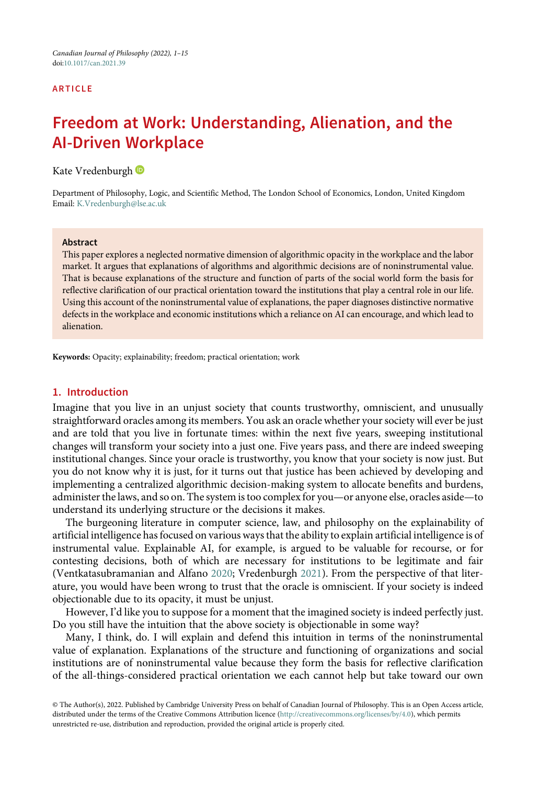#### ARTICLE

# Freedom at Work: Understanding, Alienation, and the AI-Driven Workplace

Kate Vredenburgh<sup>®</sup>

Department of Philosophy, Logic, and Scientific Method, The London School of Economics, London, United Kingdom Email: [K.Vredenburgh@lse.ac.uk](mailto:K.Vredenburgh@lse.ac.uk)

#### Abstract

This paper explores a neglected normative dimension of algorithmic opacity in the workplace and the labor market. It argues that explanations of algorithms and algorithmic decisions are of noninstrumental value. That is because explanations of the structure and function of parts of the social world form the basis for reflective clarification of our practical orientation toward the institutions that play a central role in our life. Using this account of the noninstrumental value of explanations, the paper diagnoses distinctive normative defects in the workplace and economic institutions which a reliance on AI can encourage, and which lead to alienation.

Keywords: Opacity; explainability; freedom; practical orientation; work

## 1. Introduction

Imagine that you live in an unjust society that counts trustworthy, omniscient, and unusually straightforward oracles among its members. You ask an oracle whether your society will ever be just and are told that you live in fortunate times: within the next five years, sweeping institutional changes will transform your society into a just one. Five years pass, and there are indeed sweeping institutional changes. Since your oracle is trustworthy, you know that your society is now just. But you do not know why it is just, for it turns out that justice has been achieved by developing and implementing a centralized algorithmic decision-making system to allocate benefits and burdens, administer the laws, and so on. The system is too complex for you—or anyone else, oracles aside—to understand its underlying structure or the decisions it makes.

The burgeoning literature in computer science, law, and philosophy on the explainability of artificial intelligence has focused on various ways that the ability to explain artificial intelligence is of instrumental value. Explainable AI, for example, is argued to be valuable for recourse, or for contesting decisions, both of which are necessary for institutions to be legitimate and fair (Ventkatasubramanian and Alfano [2020](#page-14-0); Vredenburgh [2021](#page-14-1)). From the perspective of that literature, you would have been wrong to trust that the oracle is omniscient. If your society is indeed objectionable due to its opacity, it must be unjust.

However, I'd like you to suppose for a moment that the imagined society is indeed perfectly just. Do you still have the intuition that the above society is objectionable in some way?

Many, I think, do. I will explain and defend this intuition in terms of the noninstrumental value of explanation. Explanations of the structure and functioning of organizations and social institutions are of noninstrumental value because they form the basis for reflective clarification of the all-things-considered practical orientation we each cannot help but take toward our own

© The Author(s), 2022. Published by Cambridge University Press on behalf of Canadian Journal of Philosophy. This is an Open Access article, distributed under the terms of the Creative Commons Attribution licence [\(http://creativecommons.org/licenses/by/4.0](http://creativecommons.org/licenses/by/4.0)), which permits unrestricted re-use, distribution and reproduction, provided the original article is properly cited.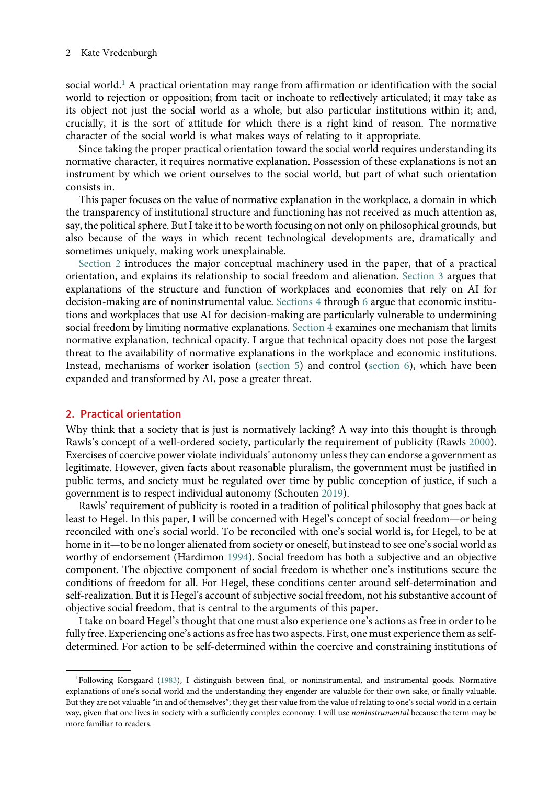social world.<sup>[1](#page-1-0)</sup> A practical orientation may range from affirmation or identification with the social world to rejection or opposition; from tacit or inchoate to reflectively articulated; it may take as its object not just the social world as a whole, but also particular institutions within it; and, crucially, it is the sort of attitude for which there is a right kind of reason. The normative character of the social world is what makes ways of relating to it appropriate.

Since taking the proper practical orientation toward the social world requires understanding its normative character, it requires normative explanation. Possession of these explanations is not an instrument by which we orient ourselves to the social world, but part of what such orientation consists in.

This paper focuses on the value of normative explanation in the workplace, a domain in which the transparency of institutional structure and functioning has not received as much attention as, say, the political sphere. But I take it to be worth focusing on not only on philosophical grounds, but also because of the ways in which recent technological developments are, dramatically and sometimes uniquely, making work unexplainable.

[Section 2](#page-1-1) introduces the major conceptual machinery used in the paper, that of a practical orientation, and explains its relationship to social freedom and alienation. [Section 3](#page-3-0) argues that explanations of the structure and function of workplaces and economies that rely on AI for decision-making are of noninstrumental value. [Sections 4](#page-5-0) through [6](#page-5-0) argue that economic institutions and workplaces that use AI for decision-making are particularly vulnerable to undermining social freedom by limiting normative explanations. [Section 4](#page-5-0) examines one mechanism that limits normative explanation, technical opacity. I argue that technical opacity does not pose the largest threat to the availability of normative explanations in the workplace and economic institutions. Instead, mechanisms of worker isolation ([section 5](#page-8-0)) and control [\(section 6\)](#page-10-0), which have been expanded and transformed by AI, pose a greater threat.

# <span id="page-1-1"></span>2. Practical orientation

Why think that a society that is just is normatively lacking? A way into this thought is through Rawls's concept of a well-ordered society, particularly the requirement of publicity (Rawls [2000](#page-14-2)). Exercises of coercive power violate individuals' autonomy unless they can endorse a government as legitimate. However, given facts about reasonable pluralism, the government must be justified in public terms, and society must be regulated over time by public conception of justice, if such a government is to respect individual autonomy (Schouten [2019\)](#page-14-3).

Rawls' requirement of publicity is rooted in a tradition of political philosophy that goes back at least to Hegel. In this paper, I will be concerned with Hegel's concept of social freedom—or being reconciled with one's social world. To be reconciled with one's social world is, for Hegel, to be at home in it—to be no longer alienated from society or oneself, but instead to see one's social world as worthy of endorsement (Hardimon [1994](#page-13-0)). Social freedom has both a subjective and an objective component. The objective component of social freedom is whether one's institutions secure the conditions of freedom for all. For Hegel, these conditions center around self-determination and self-realization. But it is Hegel's account of subjective social freedom, not his substantive account of objective social freedom, that is central to the arguments of this paper.

I take on board Hegel's thought that one must also experience one's actions as free in order to be fully free. Experiencing one's actions as free has two aspects. First, one must experience them as selfdetermined. For action to be self-determined within the coercive and constraining institutions of

<span id="page-1-0"></span><sup>&</sup>lt;sup>1</sup>Following Korsgaard [\(1983\)](#page-14-4), I distinguish between final, or noninstrumental, and instrumental goods. Normative explanations of one's social world and the understanding they engender are valuable for their own sake, or finally valuable. But they are not valuable "in and of themselves"; they get their value from the value of relating to one's social world in a certain way, given that one lives in society with a sufficiently complex economy. I will use noninstrumental because the term may be more familiar to readers.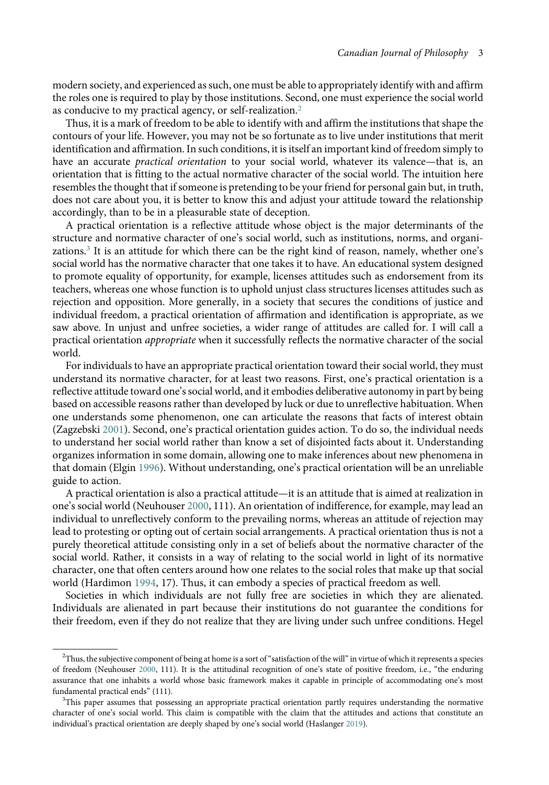modern society, and experienced as such, one must be able to appropriately identify with and affirm the roles one is required to play by those institutions. Second, one must experience the social world as conducive to my practical agency, or self-realization.[2](#page-2-0)

Thus, it is a mark of freedom to be able to identify with and affirm the institutions that shape the contours of your life. However, you may not be so fortunate as to live under institutions that merit identification and affirmation. In such conditions, it is itself an important kind of freedom simply to have an accurate *practical orientation* to your social world, whatever its valence—that is, an orientation that is fitting to the actual normative character of the social world. The intuition here resembles the thought that if someone is pretending to be your friend for personal gain but, in truth, does not care about you, it is better to know this and adjust your attitude toward the relationship accordingly, than to be in a pleasurable state of deception.

A practical orientation is a reflective attitude whose object is the major determinants of the structure and normative character of one's social world, such as institutions, norms, and organizations.[3](#page-2-1) It is an attitude for which there can be the right kind of reason, namely, whether one's social world has the normative character that one takes it to have. An educational system designed to promote equality of opportunity, for example, licenses attitudes such as endorsement from its teachers, whereas one whose function is to uphold unjust class structures licenses attitudes such as rejection and opposition. More generally, in a society that secures the conditions of justice and individual freedom, a practical orientation of affirmation and identification is appropriate, as we saw above. In unjust and unfree societies, a wider range of attitudes are called for. I will call a practical orientation appropriate when it successfully reflects the normative character of the social world.

For individuals to have an appropriate practical orientation toward their social world, they must understand its normative character, for at least two reasons. First, one's practical orientation is a reflective attitude toward one's social world, and it embodies deliberative autonomy in part by being based on accessible reasons rather than developed by luck or due to unreflective habituation. When one understands some phenomenon, one can articulate the reasons that facts of interest obtain (Zagzebski [2001\)](#page-14-5). Second, one's practical orientation guides action. To do so, the individual needs to understand her social world rather than know a set of disjointed facts about it. Understanding organizes information in some domain, allowing one to make inferences about new phenomena in that domain (Elgin [1996\)](#page-13-1). Without understanding, one's practical orientation will be an unreliable guide to action.

A practical orientation is also a practical attitude—it is an attitude that is aimed at realization in one's social world (Neuhouser [2000,](#page-14-6) 111). An orientation of indifference, for example, may lead an individual to unreflectively conform to the prevailing norms, whereas an attitude of rejection may lead to protesting or opting out of certain social arrangements. A practical orientation thus is not a purely theoretical attitude consisting only in a set of beliefs about the normative character of the social world. Rather, it consists in a way of relating to the social world in light of its normative character, one that often centers around how one relates to the social roles that make up that social world (Hardimon [1994](#page-13-0), 17). Thus, it can embody a species of practical freedom as well.

Societies in which individuals are not fully free are societies in which they are alienated. Individuals are alienated in part because their institutions do not guarantee the conditions for their freedom, even if they do not realize that they are living under such unfree conditions. Hegel

<span id="page-2-0"></span> $^2$ Thus, the subjective component of being at home is a sort of "satisfaction of the will" in virtue of which it represents a species of freedom (Neuhouser [2000,](#page-14-6) 111). It is the attitudinal recognition of one's state of positive freedom, i.e., "the enduring assurance that one inhabits a world whose basic framework makes it capable in principle of accommodating one's most fundamental practical ends" (111).

<span id="page-2-1"></span><sup>&</sup>lt;sup>3</sup>This paper assumes that possessing an appropriate practical orientation partly requires understanding the normative character of one's social world. This claim is compatible with the claim that the attitudes and actions that constitute an individual's practical orientation are deeply shaped by one's social world (Haslanger [2019](#page-13-2)).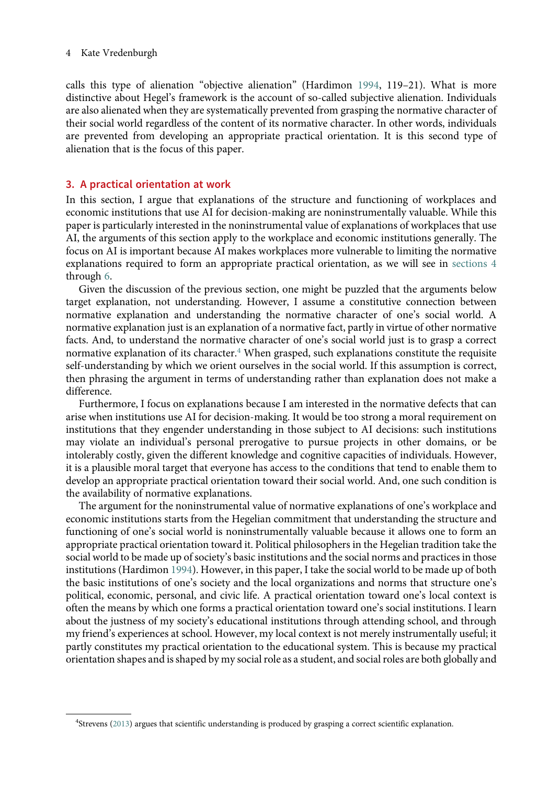calls this type of alienation "objective alienation" (Hardimon [1994,](#page-13-0) 119–21). What is more distinctive about Hegel's framework is the account of so-called subjective alienation. Individuals are also alienated when they are systematically prevented from grasping the normative character of their social world regardless of the content of its normative character. In other words, individuals are prevented from developing an appropriate practical orientation. It is this second type of alienation that is the focus of this paper.

# <span id="page-3-0"></span>3. A practical orientation at work

In this section, I argue that explanations of the structure and functioning of workplaces and economic institutions that use AI for decision-making are noninstrumentally valuable. While this paper is particularly interested in the noninstrumental value of explanations of workplaces that use AI, the arguments of this section apply to the workplace and economic institutions generally. The focus on AI is important because AI makes workplaces more vulnerable to limiting the normative explanations required to form an appropriate practical orientation, as we will see in [sections 4](#page-5-0) through [6.](#page-5-0)

Given the discussion of the previous section, one might be puzzled that the arguments below target explanation, not understanding. However, I assume a constitutive connection between normative explanation and understanding the normative character of one's social world. A normative explanation just is an explanation of a normative fact, partly in virtue of other normative facts. And, to understand the normative character of one's social world just is to grasp a correct normative explanation of its character. $4$  When grasped, such explanations constitute the requisite self-understanding by which we orient ourselves in the social world. If this assumption is correct, then phrasing the argument in terms of understanding rather than explanation does not make a difference.

Furthermore, I focus on explanations because I am interested in the normative defects that can arise when institutions use AI for decision-making. It would be too strong a moral requirement on institutions that they engender understanding in those subject to AI decisions: such institutions may violate an individual's personal prerogative to pursue projects in other domains, or be intolerably costly, given the different knowledge and cognitive capacities of individuals. However, it is a plausible moral target that everyone has access to the conditions that tend to enable them to develop an appropriate practical orientation toward their social world. And, one such condition is the availability of normative explanations.

The argument for the noninstrumental value of normative explanations of one's workplace and economic institutions starts from the Hegelian commitment that understanding the structure and functioning of one's social world is noninstrumentally valuable because it allows one to form an appropriate practical orientation toward it. Political philosophers in the Hegelian tradition take the social world to be made up of society's basic institutions and the social norms and practices in those institutions (Hardimon [1994](#page-13-0)). However, in this paper, I take the social world to be made up of both the basic institutions of one's society and the local organizations and norms that structure one's political, economic, personal, and civic life. A practical orientation toward one's local context is often the means by which one forms a practical orientation toward one's social institutions. I learn about the justness of my society's educational institutions through attending school, and through my friend's experiences at school. However, my local context is not merely instrumentally useful; it partly constitutes my practical orientation to the educational system. This is because my practical orientation shapes and is shaped by my social role as a student, and social roles are both globally and

<span id="page-3-1"></span><sup>&</sup>lt;sup>4</sup>Strevens ([2013\)](#page-14-7) argues that scientific understanding is produced by grasping a correct scientific explanation.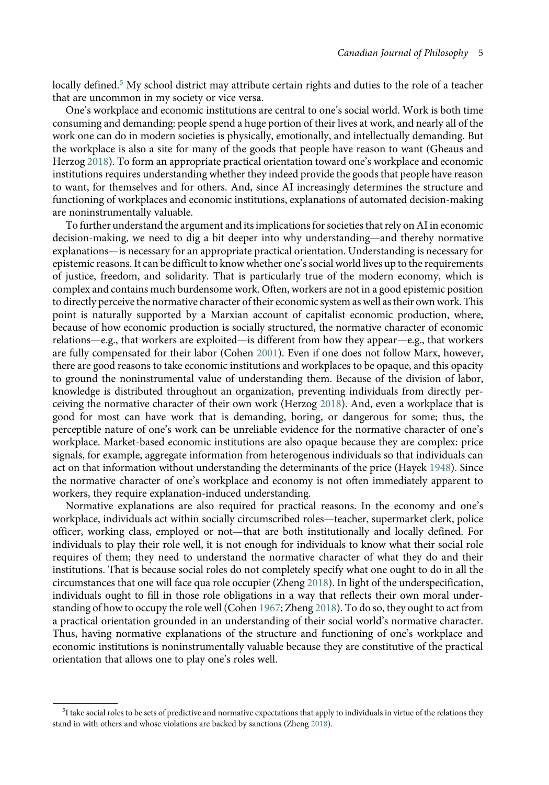locally defined.<sup>[5](#page-4-0)</sup> My school district may attribute certain rights and duties to the role of a teacher that are uncommon in my society or vice versa.

One's workplace and economic institutions are central to one's social world. Work is both time consuming and demanding: people spend a huge portion of their lives at work, and nearly all of the work one can do in modern societies is physically, emotionally, and intellectually demanding. But the workplace is also a site for many of the goods that people have reason to want (Gheaus and Herzog [2018\)](#page-13-3). To form an appropriate practical orientation toward one's workplace and economic institutions requires understanding whether they indeed provide the goods that people have reason to want, for themselves and for others. And, since AI increasingly determines the structure and functioning of workplaces and economic institutions, explanations of automated decision-making are noninstrumentally valuable.

To further understand the argument and its implications for societies that rely on AI in economic decision-making, we need to dig a bit deeper into why understanding—and thereby normative explanations—is necessary for an appropriate practical orientation. Understanding is necessary for epistemic reasons. It can be difficult to know whether one's social world lives up to the requirements of justice, freedom, and solidarity. That is particularly true of the modern economy, which is complex and contains much burdensome work. Often, workers are not in a good epistemic position to directly perceive the normative character of their economic system as well as their own work. This point is naturally supported by a Marxian account of capitalist economic production, where, because of how economic production is socially structured, the normative character of economic relations—e.g., that workers are exploited—is different from how they appear—e.g., that workers are fully compensated for their labor (Cohen [2001](#page-13-4)). Even if one does not follow Marx, however, there are good reasons to take economic institutions and workplaces to be opaque, and this opacity to ground the noninstrumental value of understanding them. Because of the division of labor, knowledge is distributed throughout an organization, preventing individuals from directly perceiving the normative character of their own work (Herzog [2018](#page-13-5)). And, even a workplace that is good for most can have work that is demanding, boring, or dangerous for some; thus, the perceptible nature of one's work can be unreliable evidence for the normative character of one's workplace. Market-based economic institutions are also opaque because they are complex: price signals, for example, aggregate information from heterogenous individuals so that individuals can act on that information without understanding the determinants of the price (Hayek [1948\)](#page-13-6). Since the normative character of one's workplace and economy is not often immediately apparent to workers, they require explanation-induced understanding.

Normative explanations are also required for practical reasons. In the economy and one's workplace, individuals act within socially circumscribed roles—teacher, supermarket clerk, police officer, working class, employed or not—that are both institutionally and locally defined. For individuals to play their role well, it is not enough for individuals to know what their social role requires of them; they need to understand the normative character of what they do and their institutions. That is because social roles do not completely specify what one ought to do in all the circumstances that one will face qua role occupier (Zheng [2018](#page-14-8)). In light of the underspecification, individuals ought to fill in those role obligations in a way that reflects their own moral understanding of how to occupy the role well (Cohen [1967](#page-13-7); Zheng [2018\)](#page-14-8). To do so, they ought to act from a practical orientation grounded in an understanding of their social world's normative character. Thus, having normative explanations of the structure and functioning of one's workplace and economic institutions is noninstrumentally valuable because they are constitutive of the practical orientation that allows one to play one's roles well.

<span id="page-4-0"></span> $51$  take social roles to be sets of predictive and normative expectations that apply to individuals in virtue of the relations they stand in with others and whose violations are backed by sanctions (Zheng [2018\)](#page-14-8).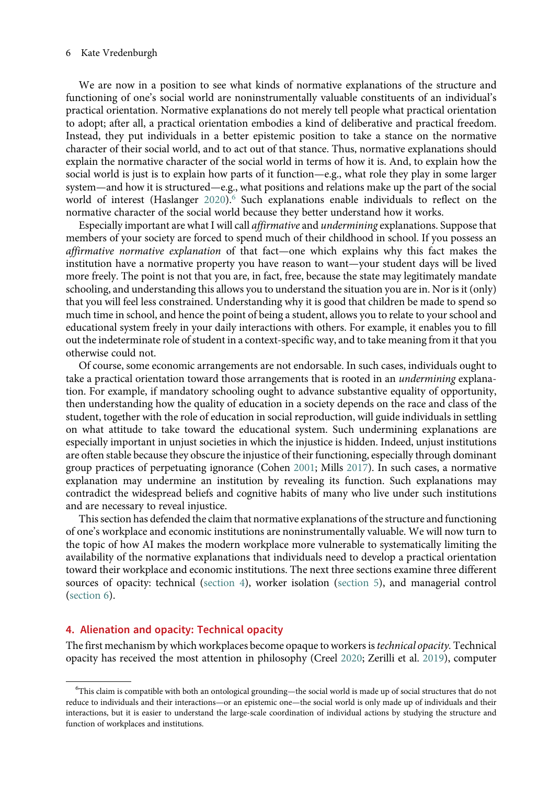We are now in a position to see what kinds of normative explanations of the structure and functioning of one's social world are noninstrumentally valuable constituents of an individual's practical orientation. Normative explanations do not merely tell people what practical orientation to adopt; after all, a practical orientation embodies a kind of deliberative and practical freedom. Instead, they put individuals in a better epistemic position to take a stance on the normative character of their social world, and to act out of that stance. Thus, normative explanations should explain the normative character of the social world in terms of how it is. And, to explain how the social world is just is to explain how parts of it function—e.g., what role they play in some larger system—and how it is structured—e.g., what positions and relations make up the part of the social world of interest (Haslanger [2020\)](#page-13-8).<sup>[6](#page-5-1)</sup> Such explanations enable individuals to reflect on the normative character of the social world because they better understand how it works.

Especially important are what I will call affirmative and undermining explanations. Suppose that members of your society are forced to spend much of their childhood in school. If you possess an affirmative normative explanation of that fact—one which explains why this fact makes the institution have a normative property you have reason to want—your student days will be lived more freely. The point is not that you are, in fact, free, because the state may legitimately mandate schooling, and understanding this allows you to understand the situation you are in. Nor is it (only) that you will feel less constrained. Understanding why it is good that children be made to spend so much time in school, and hence the point of being a student, allows you to relate to your school and educational system freely in your daily interactions with others. For example, it enables you to fill out the indeterminate role of student in a context-specific way, and to take meaning from it that you otherwise could not.

Of course, some economic arrangements are not endorsable. In such cases, individuals ought to take a practical orientation toward those arrangements that is rooted in an *undermining* explanation. For example, if mandatory schooling ought to advance substantive equality of opportunity, then understanding how the quality of education in a society depends on the race and class of the student, together with the role of education in social reproduction, will guide individuals in settling on what attitude to take toward the educational system. Such undermining explanations are especially important in unjust societies in which the injustice is hidden. Indeed, unjust institutions are often stable because they obscure the injustice of their functioning, especially through dominant group practices of perpetuating ignorance (Cohen [2001](#page-13-4); Mills [2017\)](#page-14-9). In such cases, a normative explanation may undermine an institution by revealing its function. Such explanations may contradict the widespread beliefs and cognitive habits of many who live under such institutions and are necessary to reveal injustice.

This section has defended the claim that normative explanations of the structure and functioning of one's workplace and economic institutions are noninstrumentally valuable. We will now turn to the topic of how AI makes the modern workplace more vulnerable to systematically limiting the availability of the normative explanations that individuals need to develop a practical orientation toward their workplace and economic institutions. The next three sections examine three different sources of opacity: technical [\(section 4\)](#page-5-0), worker isolation [\(section 5\)](#page-8-0), and managerial control ([section 6](#page-10-0)).

## <span id="page-5-0"></span>4. Alienation and opacity: Technical opacity

The first mechanism by which workplaces become opaque to workers is *technical opacity*. Technical opacity has received the most attention in philosophy (Creel [2020;](#page-13-9) Zerilli et al. [2019\)](#page-14-10), computer

<span id="page-5-1"></span><sup>6</sup> This claim is compatible with both an ontological grounding—the social world is made up of social structures that do not reduce to individuals and their interactions—or an epistemic one—the social world is only made up of individuals and their interactions, but it is easier to understand the large-scale coordination of individual actions by studying the structure and function of workplaces and institutions.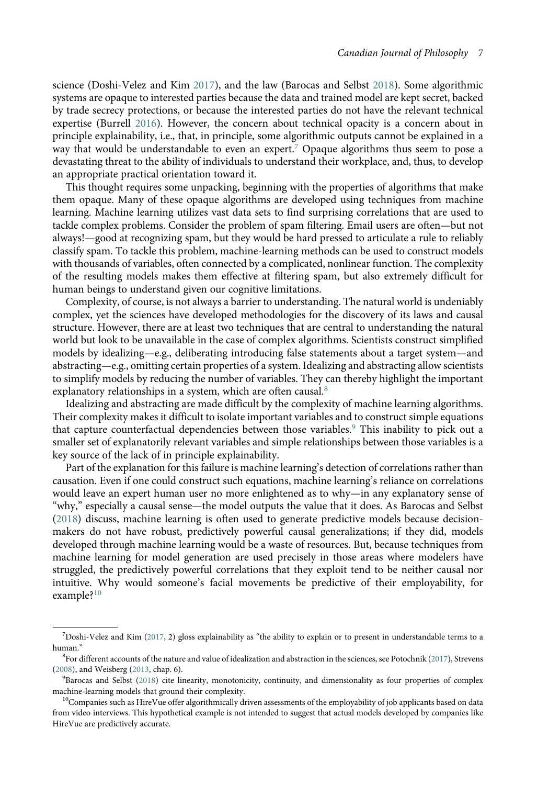science (Doshi-Velez and Kim [2017](#page-13-10)), and the law (Barocas and Selbst [2018\)](#page-13-11). Some algorithmic systems are opaque to interested parties because the data and trained model are kept secret, backed by trade secrecy protections, or because the interested parties do not have the relevant technical expertise (Burrell [2016\)](#page-13-12). However, the concern about technical opacity is a concern about in principle explainability, i.e., that, in principle, some algorithmic outputs cannot be explained in a way that would be understandable to even an expert.<sup>[7](#page-6-0)</sup> Opaque algorithms thus seem to pose a devastating threat to the ability of individuals to understand their workplace, and, thus, to develop an appropriate practical orientation toward it.

This thought requires some unpacking, beginning with the properties of algorithms that make them opaque. Many of these opaque algorithms are developed using techniques from machine learning. Machine learning utilizes vast data sets to find surprising correlations that are used to tackle complex problems. Consider the problem of spam filtering. Email users are often—but not always!—good at recognizing spam, but they would be hard pressed to articulate a rule to reliably classify spam. To tackle this problem, machine-learning methods can be used to construct models with thousands of variables, often connected by a complicated, nonlinear function. The complexity of the resulting models makes them effective at filtering spam, but also extremely difficult for human beings to understand given our cognitive limitations.

Complexity, of course, is not always a barrier to understanding. The natural world is undeniably complex, yet the sciences have developed methodologies for the discovery of its laws and causal structure. However, there are at least two techniques that are central to understanding the natural world but look to be unavailable in the case of complex algorithms. Scientists construct simplified models by idealizing—e.g., deliberating introducing false statements about a target system—and abstracting—e.g., omitting certain properties of a system. Idealizing and abstracting allow scientists to simplify models by reducing the number of variables. They can thereby highlight the important explanatory relationships in a system, which are often causal.<sup>[8](#page-6-1)</sup>

Idealizing and abstracting are made difficult by the complexity of machine learning algorithms. Their complexity makes it difficult to isolate important variables and to construct simple equations that capture counterfactual dependencies between those variables.<sup>[9](#page-6-2)</sup> This inability to pick out a smaller set of explanatorily relevant variables and simple relationships between those variables is a key source of the lack of in principle explainability.

Part of the explanation for this failure is machine learning's detection of correlations rather than causation. Even if one could construct such equations, machine learning's reliance on correlations would leave an expert human user no more enlightened as to why—in any explanatory sense of "why," especially a causal sense—the model outputs the value that it does. As Barocas and Selbst ([2018](#page-13-11)) discuss, machine learning is often used to generate predictive models because decisionmakers do not have robust, predictively powerful causal generalizations; if they did, models developed through machine learning would be a waste of resources. But, because techniques from machine learning for model generation are used precisely in those areas where modelers have struggled, the predictively powerful correlations that they exploit tend to be neither causal nor intuitive. Why would someone's facial movements be predictive of their employability, for example?[10](#page-6-3)

<span id="page-6-0"></span><sup>7</sup> Doshi-Velez and Kim [\(2017](#page-13-10), 2) gloss explainability as "the ability to explain or to present in understandable terms to a human." <sup>8</sup>

<span id="page-6-1"></span> ${}^{8}$ For different accounts of the nature and value of idealization and abstraction in the sciences, see Potochnik ([2017](#page-14-11)), Strevens ([2008](#page-14-12)), and Weisberg [\(2013,](#page-14-13) chap. 6).

<span id="page-6-2"></span> ${}^{9}$ Barocas and Selbst [\(2018\)](#page-13-11) cite linearity, monotonicity, continuity, and dimensionality as four properties of complex machine-learning models that ground their complexity.<br><sup>10</sup>Companies such as HireVue offer algorithmically driven assessments of the employability of job applicants based on data

<span id="page-6-3"></span>from video interviews. This hypothetical example is not intended to suggest that actual models developed by companies like HireVue are predictively accurate.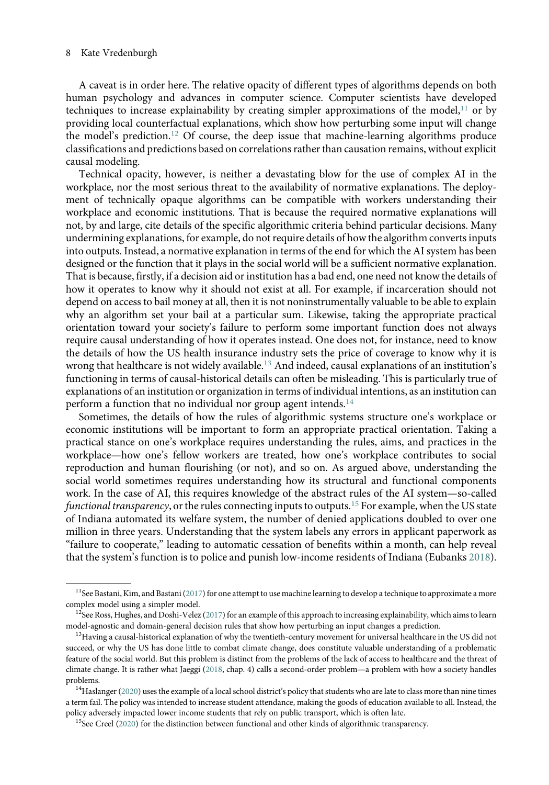A caveat is in order here. The relative opacity of different types of algorithms depends on both human psychology and advances in computer science. Computer scientists have developed techniques to increase explainability by creating simpler approximations of the model,  $11$  or by providing local counterfactual explanations, which show how perturbing some input will change the model's prediction.<sup>[12](#page-7-1)</sup> Of course, the deep issue that machine-learning algorithms produce classifications and predictions based on correlations rather than causation remains, without explicit causal modeling.

Technical opacity, however, is neither a devastating blow for the use of complex AI in the workplace, nor the most serious threat to the availability of normative explanations. The deployment of technically opaque algorithms can be compatible with workers understanding their workplace and economic institutions. That is because the required normative explanations will not, by and large, cite details of the specific algorithmic criteria behind particular decisions. Many undermining explanations, for example, do not require details of how the algorithm converts inputs into outputs. Instead, a normative explanation in terms of the end for which the AI system has been designed or the function that it plays in the social world will be a sufficient normative explanation. That is because, firstly, if a decision aid or institution has a bad end, one need not know the details of how it operates to know why it should not exist at all. For example, if incarceration should not depend on access to bail money at all, then it is not noninstrumentally valuable to be able to explain why an algorithm set your bail at a particular sum. Likewise, taking the appropriate practical orientation toward your society's failure to perform some important function does not always require causal understanding of how it operates instead. One does not, for instance, need to know the details of how the US health insurance industry sets the price of coverage to know why it is wrong that healthcare is not widely available.[13](#page-7-2) And indeed, causal explanations of an institution's functioning in terms of causal-historical details can often be misleading. This is particularly true of explanations of an institution or organization in terms of individual intentions, as an institution can perform a function that no individual nor group agent intends. $14$ 

Sometimes, the details of how the rules of algorithmic systems structure one's workplace or economic institutions will be important to form an appropriate practical orientation. Taking a practical stance on one's workplace requires understanding the rules, aims, and practices in the workplace—how one's fellow workers are treated, how one's workplace contributes to social reproduction and human flourishing (or not), and so on. As argued above, understanding the social world sometimes requires understanding how its structural and functional components work. In the case of AI, this requires knowledge of the abstract rules of the AI system—so-called functional transparency, or the rules connecting inputs to outputs.<sup>[15](#page-7-4)</sup> For example, when the US state of Indiana automated its welfare system, the number of denied applications doubled to over one million in three years. Understanding that the system labels any errors in applicant paperwork as "failure to cooperate," leading to automatic cessation of benefits within a month, can help reveal that the system's function is to police and punish low-income residents of Indiana (Eubanks [2018](#page-13-13)).

<span id="page-7-0"></span><sup>&</sup>lt;sup>11</sup>See Bastani, Kim, and Bastani ([2017\)](#page-13-14) for one attempt to use machine learning to develop a technique to approximate a more complex model using a simpler model.<br><sup>12</sup>See Ross, Hughes, and Doshi-Velez ([2017](#page-14-14)) for an example of this approach to increasing explainability, which aims to learn

<span id="page-7-1"></span>model-agnostic and domain-general decision rules that show how perturbing an input changes a prediction.<br><sup>13</sup>Having a causal-historical explanation of why the twentieth-century movement for universal healthcare in the US d

<span id="page-7-2"></span>succeed, or why the US has done little to combat climate change, does constitute valuable understanding of a problematic feature of the social world. But this problem is distinct from the problems of the lack of access to healthcare and the threat of climate change. It is rather what Jaeggi ([2018](#page-13-15), chap. 4) calls a second-order problem—a problem with how a society handles problems.<br><sup>14</sup>Haslanger [\(2020\)](#page-13-8) uses the example of a local school district's policy that students who are late to class more than nine times

<span id="page-7-4"></span><span id="page-7-3"></span>a term fail. The policy was intended to increase student attendance, making the goods of education available to all. Instead, the policy adversely impacted lower income students that rely on public transport, which is often late.<br><sup>15</sup>See Creel [\(2020](#page-13-9)) for the distinction between functional and other kinds of algorithmic transparency.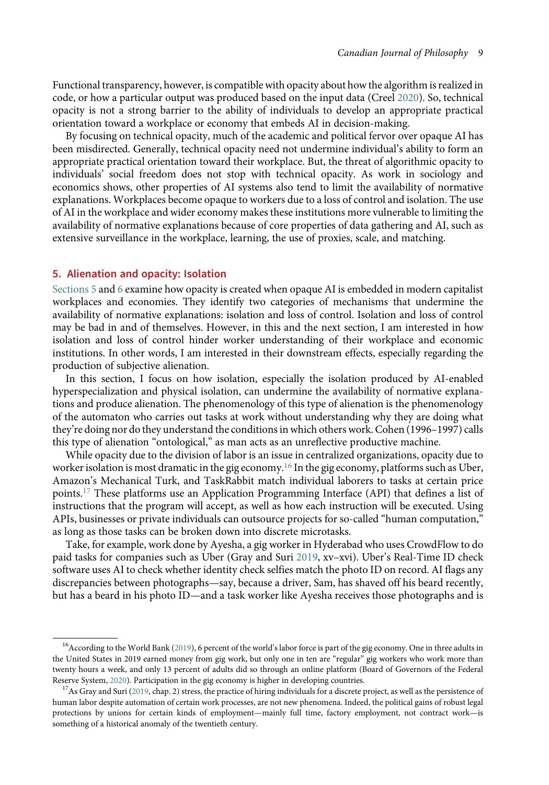Functional transparency, however, is compatible with opacity about how the algorithm is realized in code, or how a particular output was produced based on the input data (Creel [2020](#page-13-9)). So, technical opacity is not a strong barrier to the ability of individuals to develop an appropriate practical orientation toward a workplace or economy that embeds AI in decision-making.

By focusing on technical opacity, much of the academic and political fervor over opaque AI has been misdirected. Generally, technical opacity need not undermine individual's ability to form an appropriate practical orientation toward their workplace. But, the threat of algorithmic opacity to individuals' social freedom does not stop with technical opacity. As work in sociology and economics shows, other properties of AI systems also tend to limit the availability of normative explanations. Workplaces become opaque to workers due to a loss of control and isolation. The use of AI in the workplace and wider economy makes these institutions more vulnerable to limiting the availability of normative explanations because of core properties of data gathering and AI, such as extensive surveillance in the workplace, learning, the use of proxies, scale, and matching.

# <span id="page-8-0"></span>5. Alienation and opacity: Isolation

[Sections](#page-10-0) [5](#page-8-0) and [6](#page-10-0) examine how opacity is created when opaque AI is embedded in modern capitalist workplaces and economies. They identify two categories of mechanisms that undermine the availability of normative explanations: isolation and loss of control. Isolation and loss of control may be bad in and of themselves. However, in this and the next section, I am interested in how isolation and loss of control hinder worker understanding of their workplace and economic institutions. In other words, I am interested in their downstream effects, especially regarding the production of subjective alienation.

In this section, I focus on how isolation, especially the isolation produced by AI-enabled hyperspecialization and physical isolation, can undermine the availability of normative explanations and produce alienation. The phenomenology of this type of alienation is the phenomenology of the automaton who carries out tasks at work without understanding why they are doing what they're doing nor do they understand the conditions in which others work. Cohen (1996–1997) calls this type of alienation "ontological," as man acts as an unreflective productive machine.

While opacity due to the division of labor is an issue in centralized organizations, opacity due to worker isolation is most dramatic in the gig economy.<sup>[16](#page-8-1)</sup> In the gig economy, platforms such as Uber, Amazon's Mechanical Turk, and TaskRabbit match individual laborers to tasks at certain price points.[17](#page-8-2) These platforms use an Application Programming Interface (API) that defines a list of instructions that the program will accept, as well as how each instruction will be executed. Using APIs, businesses or private individuals can outsource projects for so-called "human computation," as long as those tasks can be broken down into discrete microtasks.

Take, for example, work done by Ayesha, a gig worker in Hyderabad who uses CrowdFlow to do paid tasks for companies such as Uber (Gray and Suri [2019,](#page-13-16) xv–xvi). Uber's Real-Time ID check software uses AI to check whether identity check selfies match the photo ID on record. AI flags any discrepancies between photographs—say, because a driver, Sam, has shaved off his beard recently, but has a beard in his photo ID—and a task worker like Ayesha receives those photographs and is

<span id="page-8-1"></span><sup>&</sup>lt;sup>16</sup>According to the World Bank [\(2019\)](#page-14-15), 6 percent of the world's labor force is part of the gig economy. One in three adults in the United States in 2019 earned money from gig work, but only one in ten are "regular" gig workers who work more than twenty hours a week, and only 13 percent of adults did so through an online platform (Board of Governors of the Federal Reserve System, 2020). Participation in the gig economy is higher in developing countries.

<span id="page-8-2"></span><sup>&</sup>lt;sup>17</sup>As Gray and Suri [\(2019](#page-13-16), chap. 2) stress, the practice of hiring individuals for a discrete project, as well as the persistence of human labor despite automation of certain work processes, are not new phenomena. Indeed, the political gains of robust legal protections by unions for certain kinds of employment—mainly full time, factory employment, not contract work—is something of a historical anomaly of the twentieth century.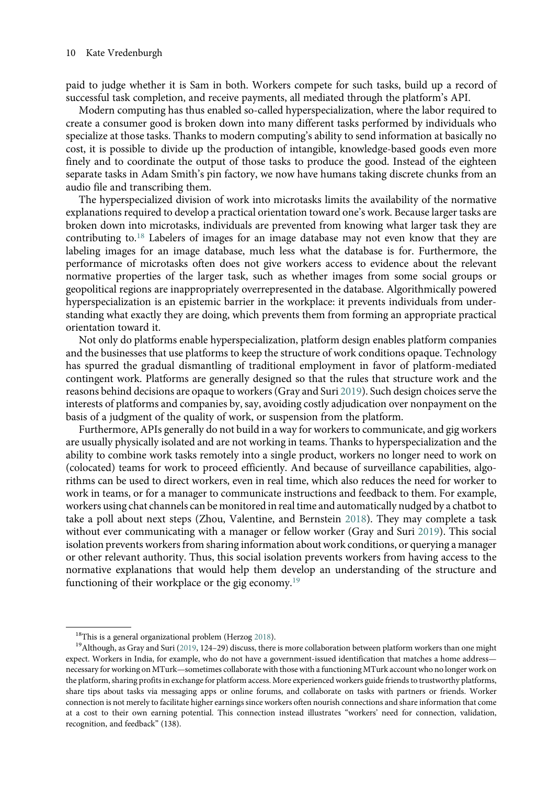paid to judge whether it is Sam in both. Workers compete for such tasks, build up a record of successful task completion, and receive payments, all mediated through the platform's API.

Modern computing has thus enabled so-called hyperspecialization, where the labor required to create a consumer good is broken down into many different tasks performed by individuals who specialize at those tasks. Thanks to modern computing's ability to send information at basically no cost, it is possible to divide up the production of intangible, knowledge-based goods even more finely and to coordinate the output of those tasks to produce the good. Instead of the eighteen separate tasks in Adam Smith's pin factory, we now have humans taking discrete chunks from an audio file and transcribing them.

The hyperspecialized division of work into microtasks limits the availability of the normative explanations required to develop a practical orientation toward one's work. Because larger tasks are broken down into microtasks, individuals are prevented from knowing what larger task they are contributing to.<sup>[18](#page-9-0)</sup> Labelers of images for an image database may not even know that they are labeling images for an image database, much less what the database is for. Furthermore, the performance of microtasks often does not give workers access to evidence about the relevant normative properties of the larger task, such as whether images from some social groups or geopolitical regions are inappropriately overrepresented in the database. Algorithmically powered hyperspecialization is an epistemic barrier in the workplace: it prevents individuals from understanding what exactly they are doing, which prevents them from forming an appropriate practical orientation toward it.

Not only do platforms enable hyperspecialization, platform design enables platform companies and the businesses that use platforms to keep the structure of work conditions opaque. Technology has spurred the gradual dismantling of traditional employment in favor of platform-mediated contingent work. Platforms are generally designed so that the rules that structure work and the reasons behind decisions are opaque to workers (Gray and Suri [2019](#page-13-16)). Such design choices serve the interests of platforms and companies by, say, avoiding costly adjudication over nonpayment on the basis of a judgment of the quality of work, or suspension from the platform.

Furthermore, APIs generally do not build in a way for workers to communicate, and gig workers are usually physically isolated and are not working in teams. Thanks to hyperspecialization and the ability to combine work tasks remotely into a single product, workers no longer need to work on (colocated) teams for work to proceed efficiently. And because of surveillance capabilities, algorithms can be used to direct workers, even in real time, which also reduces the need for worker to work in teams, or for a manager to communicate instructions and feedback to them. For example, workers using chat channels can be monitored in real time and automatically nudged by a chatbot to take a poll about next steps (Zhou, Valentine, and Bernstein [2018](#page-14-16)). They may complete a task without ever communicating with a manager or fellow worker (Gray and Suri [2019](#page-13-16)). This social isolation prevents workers from sharing information about work conditions, or querying a manager or other relevant authority. Thus, this social isolation prevents workers from having access to the normative explanations that would help them develop an understanding of the structure and functioning of their workplace or the gig economy.<sup>[19](#page-9-1)</sup>

<span id="page-9-1"></span><span id="page-9-0"></span><sup>&</sup>lt;sup>18</sup>This is a general organizational problem (Herzog [2018\)](#page-13-5). <sup>19</sup>Although between platform workers than one might <sup>19</sup>Although, as Gray and Suri ([2019](#page-13-16), 124–29) discuss, there is more collaboration between platform workers expect. Workers in India, for example, who do not have a government-issued identification that matches a home address necessary for working on MTurk—sometimes collaborate with those with a functioning MTurk account who no longer work on the platform, sharing profits in exchange for platform access. More experienced workers guide friends to trustworthy platforms, share tips about tasks via messaging apps or online forums, and collaborate on tasks with partners or friends. Worker connection is not merely to facilitate higher earnings since workers often nourish connections and share information that come at a cost to their own earning potential. This connection instead illustrates "workers' need for connection, validation, recognition, and feedback" (138).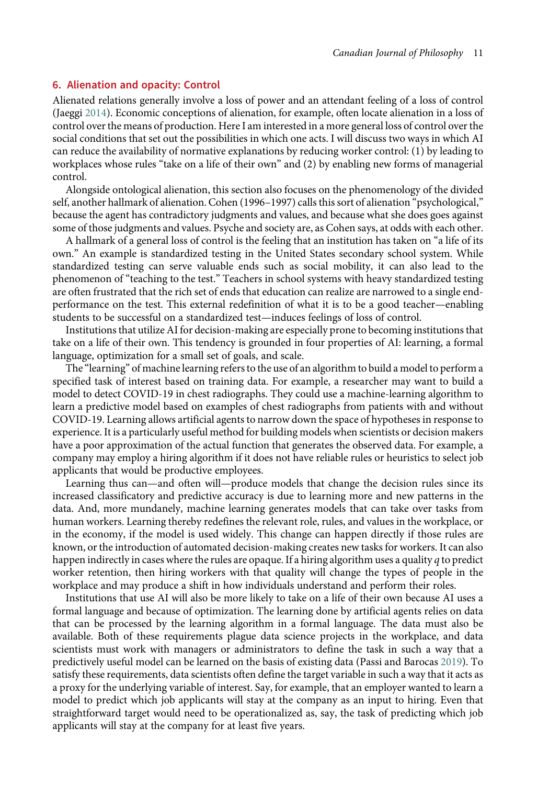## <span id="page-10-0"></span>6. Alienation and opacity: Control

Alienated relations generally involve a loss of power and an attendant feeling of a loss of control (Jaeggi [2014\)](#page-13-18). Economic conceptions of alienation, for example, often locate alienation in a loss of control over the means of production. Here I am interested in a more general loss of control over the social conditions that set out the possibilities in which one acts. I will discuss two ways in which AI can reduce the availability of normative explanations by reducing worker control: (1) by leading to workplaces whose rules "take on a life of their own" and (2) by enabling new forms of managerial control.

Alongside ontological alienation, this section also focuses on the phenomenology of the divided self, another hallmark of alienation. Cohen (1996–1997) calls this sort of alienation "psychological," because the agent has contradictory judgments and values, and because what she does goes against some of those judgments and values. Psyche and society are, as Cohen says, at odds with each other.

A hallmark of a general loss of control is the feeling that an institution has taken on "a life of its own." An example is standardized testing in the United States secondary school system. While standardized testing can serve valuable ends such as social mobility, it can also lead to the phenomenon of "teaching to the test." Teachers in school systems with heavy standardized testing are often frustrated that the rich set of ends that education can realize are narrowed to a single endperformance on the test. This external redefinition of what it is to be a good teacher—enabling students to be successful on a standardized test—induces feelings of loss of control.

Institutions that utilize AI for decision-making are especially prone to becoming institutions that take on a life of their own. This tendency is grounded in four properties of AI: learning, a formal language, optimization for a small set of goals, and scale.

The "learning" of machine learning refers to the use of an algorithm to build a model to perform a specified task of interest based on training data. For example, a researcher may want to build a model to detect COVID-19 in chest radiographs. They could use a machine-learning algorithm to learn a predictive model based on examples of chest radiographs from patients with and without COVID-19. Learning allows artificial agents to narrow down the space of hypotheses in response to experience. It is a particularly useful method for building models when scientists or decision makers have a poor approximation of the actual function that generates the observed data. For example, a company may employ a hiring algorithm if it does not have reliable rules or heuristics to select job applicants that would be productive employees.

Learning thus can—and often will—produce models that change the decision rules since its increased classificatory and predictive accuracy is due to learning more and new patterns in the data. And, more mundanely, machine learning generates models that can take over tasks from human workers. Learning thereby redefines the relevant role, rules, and values in the workplace, or in the economy, if the model is used widely. This change can happen directly if those rules are known, or the introduction of automated decision-making creates new tasks for workers. It can also happen indirectly in cases where the rules are opaque. If a hiring algorithm uses a quality q to predict worker retention, then hiring workers with that quality will change the types of people in the workplace and may produce a shift in how individuals understand and perform their roles.

Institutions that use AI will also be more likely to take on a life of their own because AI uses a formal language and because of optimization. The learning done by artificial agents relies on data that can be processed by the learning algorithm in a formal language. The data must also be available. Both of these requirements plague data science projects in the workplace, and data scientists must work with managers or administrators to define the task in such a way that a predictively useful model can be learned on the basis of existing data (Passi and Barocas [2019](#page-14-17)). To satisfy these requirements, data scientists often define the target variable in such a way that it acts as a proxy for the underlying variable of interest. Say, for example, that an employer wanted to learn a model to predict which job applicants will stay at the company as an input to hiring. Even that straightforward target would need to be operationalized as, say, the task of predicting which job applicants will stay at the company for at least five years.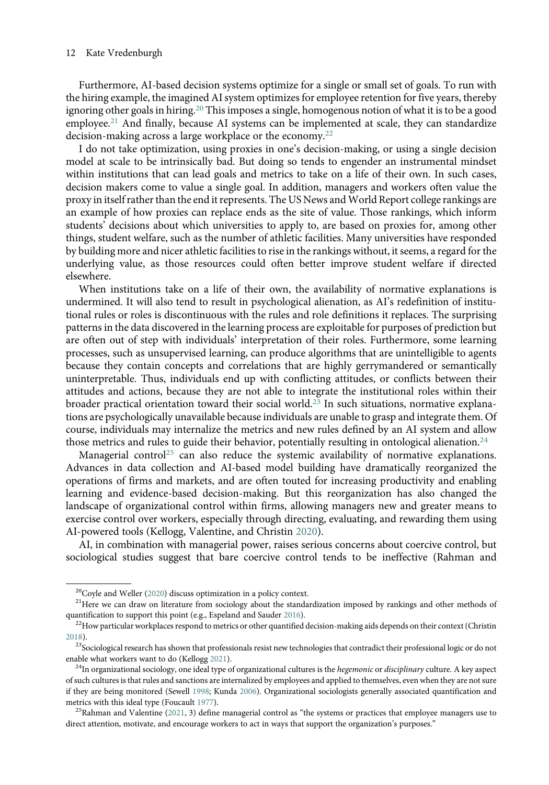Furthermore, AI-based decision systems optimize for a single or small set of goals. To run with the hiring example, the imagined AI system optimizes for employee retention for five years, thereby ignoring other goals in hiring.<sup>[20](#page-11-0)</sup> This imposes a single, homogenous notion of what it is to be a good employee.<sup>[21](#page-11-1)</sup> And finally, because AI systems can be implemented at scale, they can standardize decision-making across a large workplace or the economy.[22](#page-11-2)

I do not take optimization, using proxies in one's decision-making, or using a single decision model at scale to be intrinsically bad. But doing so tends to engender an instrumental mindset within institutions that can lead goals and metrics to take on a life of their own. In such cases, decision makers come to value a single goal. In addition, managers and workers often value the proxy in itself rather than the end it represents. The US News and World Report college rankings are an example of how proxies can replace ends as the site of value. Those rankings, which inform students' decisions about which universities to apply to, are based on proxies for, among other things, student welfare, such as the number of athletic facilities. Many universities have responded by building more and nicer athletic facilities to rise in the rankings without, it seems, a regard for the underlying value, as those resources could often better improve student welfare if directed elsewhere.

When institutions take on a life of their own, the availability of normative explanations is undermined. It will also tend to result in psychological alienation, as AI's redefinition of institutional rules or roles is discontinuous with the rules and role definitions it replaces. The surprising patterns in the data discovered in the learning process are exploitable for purposes of prediction but are often out of step with individuals' interpretation of their roles. Furthermore, some learning processes, such as unsupervised learning, can produce algorithms that are unintelligible to agents because they contain concepts and correlations that are highly gerrymandered or semantically uninterpretable. Thus, individuals end up with conflicting attitudes, or conflicts between their attitudes and actions, because they are not able to integrate the institutional roles within their broader practical orientation toward their social world.<sup>[23](#page-11-3)</sup> In such situations, normative explanations are psychologically unavailable because individuals are unable to grasp and integrate them. Of course, individuals may internalize the metrics and new rules defined by an AI system and allow those metrics and rules to guide their behavior, potentially resulting in ontological alienation.<sup>[24](#page-11-4)</sup>

Managerial control<sup>[25](#page-11-5)</sup> can also reduce the systemic availability of normative explanations. Advances in data collection and AI-based model building have dramatically reorganized the operations of firms and markets, and are often touted for increasing productivity and enabling learning and evidence-based decision-making. But this reorganization has also changed the landscape of organizational control within firms, allowing managers new and greater means to exercise control over workers, especially through directing, evaluating, and rewarding them using AI-powered tools (Kellogg, Valentine, and Christin [2020](#page-13-19)).

AI, in combination with managerial power, raises serious concerns about coercive control, but sociological studies suggest that bare coercive control tends to be ineffective (Rahman and

<span id="page-11-1"></span><span id="page-11-0"></span><sup>&</sup>lt;sup>20</sup>Coyle and Weller [\(2020\)](#page-13-20) discuss optimization in a policy context.<br><sup>21</sup>Here we can draw on literature from sociology about the standardization imposed by rankings and other methods of quantification to support this point (e.g., Espeland and Sauder [2016\)](#page-13-21).<br><sup>22</sup>How particular workplaces respond to metrics or other quantified decision-making aids depends on their context (Christin

<span id="page-11-2"></span>[<sup>2018\)</sup>](#page-13-22).

<span id="page-11-3"></span><sup>&</sup>lt;sup>23</sup>Sociological research has shown that professionals resist new technologies that contradict their professional logic or do not enable what workers want to do (Kellogg [2021](#page-14-18)).<br><sup>24</sup>In organizational sociology, one ideal type of organizational cultures is the *hegemonic* or *disciplinary* culture. A key aspect

<span id="page-11-4"></span>of such cultures is that rules and sanctions are internalized by employees and applied to themselves, even when they are not sure if they are being monitored (Sewell [1998;](#page-14-19) Kunda [2006](#page-14-20)). Organizational sociologists generally associated quantification and metrics with this ideal type (Foucault [1977](#page-13-23)).<br><sup>25</sup>Rahman and Valentine [\(2021](#page-14-21), 3) define managerial control as "the systems or practices that employee managers use to

<span id="page-11-5"></span>direct attention, motivate, and encourage workers to act in ways that support the organization's purposes."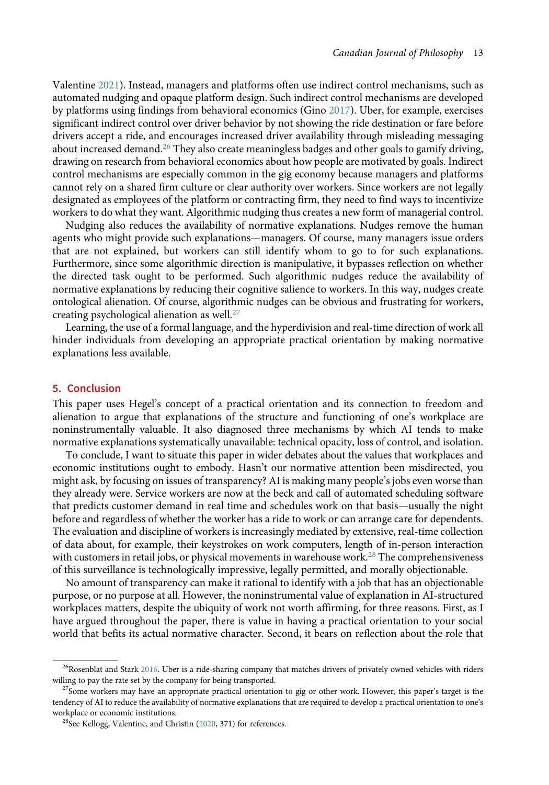Valentine [2021\)](#page-14-21). Instead, managers and platforms often use indirect control mechanisms, such as automated nudging and opaque platform design. Such indirect control mechanisms are developed by platforms using findings from behavioral economics (Gino [2017\)](#page-13-24). Uber, for example, exercises significant indirect control over driver behavior by not showing the ride destination or fare before drivers accept a ride, and encourages increased driver availability through misleading messaging about increased demand.<sup>[26](#page-12-0)</sup> They also create meaningless badges and other goals to gamify driving, drawing on research from behavioral economics about how people are motivated by goals. Indirect control mechanisms are especially common in the gig economy because managers and platforms cannot rely on a shared firm culture or clear authority over workers. Since workers are not legally designated as employees of the platform or contracting firm, they need to find ways to incentivize workers to do what they want. Algorithmic nudging thus creates a new form of managerial control.

Nudging also reduces the availability of normative explanations. Nudges remove the human agents who might provide such explanations—managers. Of course, many managers issue orders that are not explained, but workers can still identify whom to go to for such explanations. Furthermore, since some algorithmic direction is manipulative, it bypasses reflection on whether the directed task ought to be performed. Such algorithmic nudges reduce the availability of normative explanations by reducing their cognitive salience to workers. In this way, nudges create ontological alienation. Of course, algorithmic nudges can be obvious and frustrating for workers, creating psychological alienation as well.[27](#page-12-1)

Learning, the use of a formal language, and the hyperdivision and real-time direction of work all hinder individuals from developing an appropriate practical orientation by making normative explanations less available.

#### 5. Conclusion

This paper uses Hegel's concept of a practical orientation and its connection to freedom and alienation to argue that explanations of the structure and functioning of one's workplace are noninstrumentally valuable. It also diagnosed three mechanisms by which AI tends to make normative explanations systematically unavailable: technical opacity, loss of control, and isolation.

To conclude, I want to situate this paper in wider debates about the values that workplaces and economic institutions ought to embody. Hasn't our normative attention been misdirected, you might ask, by focusing on issues of transparency? AI is making many people's jobs even worse than they already were. Service workers are now at the beck and call of automated scheduling software that predicts customer demand in real time and schedules work on that basis—usually the night before and regardless of whether the worker has a ride to work or can arrange care for dependents. The evaluation and discipline of workers is increasingly mediated by extensive, real-time collection of data about, for example, their keystrokes on work computers, length of in-person interaction with customers in retail jobs, or physical movements in warehouse work.<sup>[28](#page-12-2)</sup> The comprehensiveness of this surveillance is technologically impressive, legally permitted, and morally objectionable.

No amount of transparency can make it rational to identify with a job that has an objectionable purpose, or no purpose at all. However, the noninstrumental value of explanation in AI-structured workplaces matters, despite the ubiquity of work not worth affirming, for three reasons. First, as I have argued throughout the paper, there is value in having a practical orientation to your social world that befits its actual normative character. Second, it bears on reflection about the role that

<span id="page-12-0"></span> $^{26}$ Rosenblat and Stark [2016.](#page-14-22) Uber is a ride-sharing company that matches drivers of privately owned vehicles with riders willing to pay the rate set by the company for being transported.<br><sup>27</sup>Some workers may have an appropriate practical orientation to gig or other work. However, this paper's target is the

<span id="page-12-2"></span><span id="page-12-1"></span>tendency of AI to reduce the availability of normative explanations that are required to develop a practical orientation to one's workplace or economic institutions.<br><sup>28</sup>See Kellogg, Valentine, and Christin ([2020,](#page-13-19) 371) for references.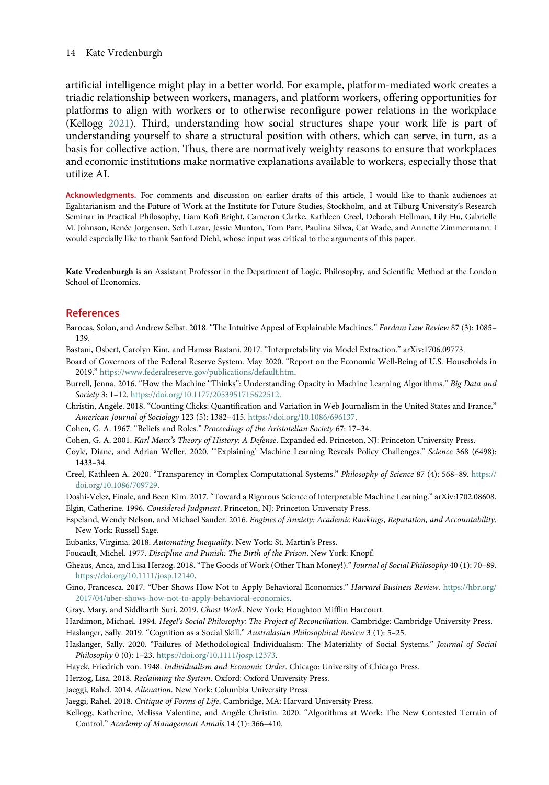artificial intelligence might play in a better world. For example, platform-mediated work creates a triadic relationship between workers, managers, and platform workers, offering opportunities for platforms to align with workers or to otherwise reconfigure power relations in the workplace (Kellogg [2021](#page-14-18)). Third, understanding how social structures shape your work life is part of understanding yourself to share a structural position with others, which can serve, in turn, as a basis for collective action. Thus, there are normatively weighty reasons to ensure that workplaces and economic institutions make normative explanations available to workers, especially those that utilize AI.

Acknowledgments. For comments and discussion on earlier drafts of this article, I would like to thank audiences at Egalitarianism and the Future of Work at the Institute for Future Studies, Stockholm, and at Tilburg University's Research Seminar in Practical Philosophy, Liam Kofi Bright, Cameron Clarke, Kathleen Creel, Deborah Hellman, Lily Hu, Gabrielle M. Johnson, Renée Jorgensen, Seth Lazar, Jessie Munton, Tom Parr, Paulina Silwa, Cat Wade, and Annette Zimmermann. I would especially like to thank Sanford Diehl, whose input was critical to the arguments of this paper.

Kate Vredenburgh is an Assistant Professor in the Department of Logic, Philosophy, and Scientific Method at the London School of Economics.

# References

<span id="page-13-11"></span>Barocas, Solon, and Andrew Selbst. 2018. "The Intuitive Appeal of Explainable Machines." Fordam Law Review 87 (3): 1085-139.

- <span id="page-13-17"></span><span id="page-13-14"></span>Bastani, Osbert, Carolyn Kim, and Hamsa Bastani. 2017. "Interpretability via Model Extraction." arXiv:1706.09773.
- Board of Governors of the Federal Reserve System. May 2020. "Report on the Economic Well-Being of U.S. Households in 2019." <https://www.federalreserve.gov/publications/default.htm>.
- <span id="page-13-12"></span>Burrell, Jenna. 2016. "How the Machine "Thinks": Understanding Opacity in Machine Learning Algorithms." Big Data and Society 3: 1–12. <https://doi.org/10.1177/2053951715622512>.
- <span id="page-13-22"></span>Christin, Angèle. 2018. "Counting Clicks: Quantification and Variation in Web Journalism in the United States and France." American Journal of Sociology 123 (5): 1382–415. [https://doi.org/10.1086/696137.](https://doi.org/10.1086/696137)
- <span id="page-13-7"></span><span id="page-13-4"></span>Cohen, G. A. 1967. "Beliefs and Roles." Proceedings of the Aristotelian Society 67: 17–34.
- <span id="page-13-20"></span>Cohen, G. A. 2001. Karl Marx's Theory of History: A Defense. Expanded ed. Princeton, NJ: Princeton University Press.

Coyle, Diane, and Adrian Weller. 2020. "'Explaining' Machine Learning Reveals Policy Challenges." Science 368 (6498): 1433–34.

<span id="page-13-9"></span>Creel, Kathleen A. 2020. "Transparency in Complex Computational Systems." Philosophy of Science 87 (4): 568–89. [https://](https://doi.org/10.1086/709729) [doi.org/10.1086/709729.](https://doi.org/10.1086/709729)

<span id="page-13-21"></span><span id="page-13-10"></span><span id="page-13-1"></span>Doshi-Velez, Finale, and Been Kim. 2017. "Toward a Rigorous Science of Interpretable Machine Learning." arXiv:1702.08608. Elgin, Catherine. 1996. Considered Judgment. Princeton, NJ: Princeton University Press.

<span id="page-13-13"></span>Espeland, Wendy Nelson, and Michael Sauder. 2016. Engines of Anxiety: Academic Rankings, Reputation, and Accountability. New York: Russell Sage.

<span id="page-13-23"></span>Eubanks, Virginia. 2018. Automating Inequality. New York: St. Martin's Press.

- <span id="page-13-3"></span>Foucault, Michel. 1977. Discipline and Punish: The Birth of the Prison. New York: Knopf.
- <span id="page-13-24"></span>Gheaus, Anca, and Lisa Herzog. 2018. "The Goods of Work (Other Than Money!)." Journal of Social Philosophy 40 (1): 70–89. [https://doi.org/10.1111/josp.12140.](https://doi.org/10.1111/josp.12140)
- <span id="page-13-16"></span>Gino, Francesca. 2017. "Uber Shows How Not to Apply Behavioral Economics." Harvard Business Review. [https://hbr.org/](https://hbr.org/2017/04/uber-shows-how-not-to-apply-behavioral-economics) [2017/04/uber-shows-how-not-to-apply-behavioral-economics.](https://hbr.org/2017/04/uber-shows-how-not-to-apply-behavioral-economics)
- <span id="page-13-0"></span>Gray, Mary, and Siddharth Suri. 2019. Ghost Work. New York: Houghton Mifflin Harcourt.

<span id="page-13-8"></span><span id="page-13-2"></span>Hardimon, Michael. 1994. Hegel's Social Philosophy: The Project of Reconciliation. Cambridge: Cambridge University Press. Haslanger, Sally. 2019. "Cognition as a Social Skill." Australasian Philosophical Review 3 (1): 5–25.

- <span id="page-13-6"></span>Haslanger, Sally. 2020. "Failures of Methodological Individualism: The Materiality of Social Systems." Journal of Social Philosophy 0 (0): 1-23. [https://doi.org/10.1111/josp.12373.](https://doi.org/10.1111/josp.12373)
- <span id="page-13-18"></span><span id="page-13-5"></span>Hayek, Friedrich von. 1948. Individualism and Economic Order. Chicago: University of Chicago Press.

<span id="page-13-15"></span>Herzog, Lisa. 2018. Reclaiming the System. Oxford: Oxford University Press.

Jaeggi, Rahel. 2014. Alienation. New York: Columbia University Press.

<span id="page-13-19"></span>Jaeggi, Rahel. 2018. Critique of Forms of Life. Cambridge, MA: Harvard University Press.

Kellogg, Katherine, Melissa Valentine, and Angèle Christin. 2020. "Algorithms at Work: The New Contested Terrain of Control." Academy of Management Annals 14 (1): 366–410.